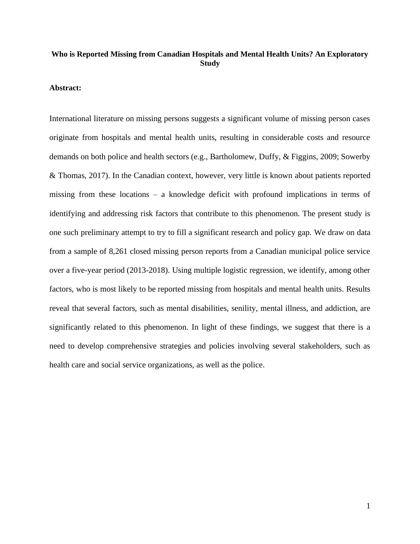# **Who is Reported Missing from Canadian Hospitals and Mental Health Units? An Exploratory Study**

### **Abstract:**

International literature on missing persons suggests a significant volume of missing person cases originate from hospitals and mental health units, resulting in considerable costs and resource demands on both police and health sectors (e.g., Bartholomew, Duffy, & Figgins, 2009; Sowerby & Thomas, 2017). In the Canadian context, however, very little is known about patients reported missing from these locations – a knowledge deficit with profound implications in terms of identifying and addressing risk factors that contribute to this phenomenon. The present study is one such preliminary attempt to try to fill a significant research and policy gap. We draw on data from a sample of 8,261 closed missing person reports from a Canadian municipal police service over a five-year period (2013-2018). Using multiple logistic regression, we identify, among other factors, who is most likely to be reported missing from hospitals and mental health units. Results reveal that several factors, such as mental disabilities, senility, mental illness, and addiction, are significantly related to this phenomenon. In light of these findings, we suggest that there is a need to develop comprehensive strategies and policies involving several stakeholders, such as health care and social service organizations, as well as the police.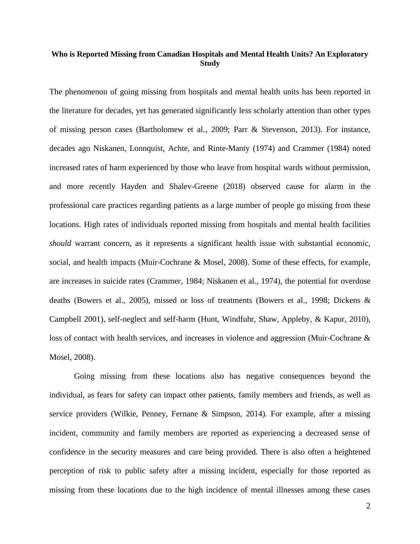# **Who is Reported Missing from Canadian Hospitals and Mental Health Units? An Exploratory Study**

The phenomenon of going missing from hospitals and mental health units has been reported in the literature for decades, yet has generated significantly less scholarly attention than other types of missing person cases (Bartholomew et al., 2009; Parr & Stevenson, 2013). For instance, decades ago Niskanen, Lonnquist, Achte, and Rinte-Manty (1974) and Crammer (1984) noted increased rates of harm experienced by those who leave from hospital wards without permission, and more recently Hayden and Shalev-Greene (2018) observed cause for alarm in the professional care practices regarding patients as a large number of people go missing from these locations. High rates of individuals reported missing from hospitals and mental health facilities *should* warrant concern, as it represents a significant health issue with substantial economic, social, and health impacts (Muir-Cochrane & Mosel, 2008). Some of these effects, for example, are increases in suicide rates (Crammer, 1984; Niskanen et al., 1974), the potential for overdose deaths (Bowers et al., 2005), missed or loss of treatments (Bowers et al., 1998; Dickens & Campbell 2001), self-neglect and self-harm (Hunt, Windfuhr, Shaw, Appleby, & Kapur, 2010), loss of contact with health services, and increases in violence and aggression (Muir-Cochrane & Mosel, 2008).

Going missing from these locations also has negative consequences beyond the individual, as fears for safety can impact other patients, family members and friends, as well as service providers (Wilkie, Penney, Fernane & Simpson, 2014). For example, after a missing incident, community and family members are reported as experiencing a decreased sense of confidence in the security measures and care being provided. There is also often a heightened perception of risk to public safety after a missing incident, especially for those reported as missing from these locations due to the high incidence of mental illnesses among these cases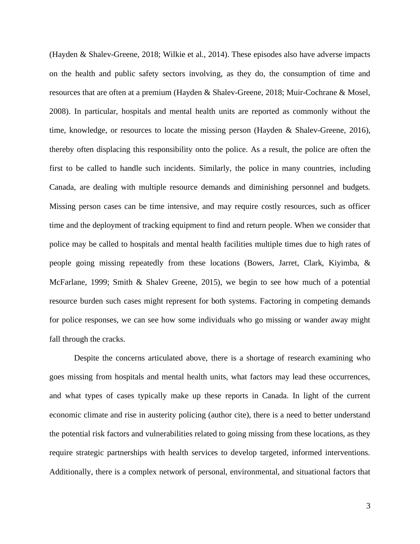(Hayden & Shalev-Greene, 2018; Wilkie et al., 2014). These episodes also have adverse impacts on the health and public safety sectors involving, as they do, the consumption of time and resources that are often at a premium (Hayden & Shalev-Greene, 2018; Muir-Cochrane & Mosel, 2008). In particular, hospitals and mental health units are reported as commonly without the time, knowledge, or resources to locate the missing person (Hayden & Shalev-Greene, 2016), thereby often displacing this responsibility onto the police. As a result, the police are often the first to be called to handle such incidents. Similarly, the police in many countries, including Canada, are dealing with multiple resource demands and diminishing personnel and budgets. Missing person cases can be time intensive, and may require costly resources, such as officer time and the deployment of tracking equipment to find and return people. When we consider that police may be called to hospitals and mental health facilities multiple times due to high rates of people going missing repeatedly from these locations (Bowers, Jarret, Clark, Kiyimba, & McFarlane, 1999; Smith & Shalev Greene, 2015), we begin to see how much of a potential resource burden such cases might represent for both systems. Factoring in competing demands for police responses, we can see how some individuals who go missing or wander away might fall through the cracks.

Despite the concerns articulated above, there is a shortage of research examining who goes missing from hospitals and mental health units, what factors may lead these occurrences, and what types of cases typically make up these reports in Canada. In light of the current economic climate and rise in austerity policing (author cite), there is a need to better understand the potential risk factors and vulnerabilities related to going missing from these locations, as they require strategic partnerships with health services to develop targeted, informed interventions. Additionally, there is a complex network of personal, environmental, and situational factors that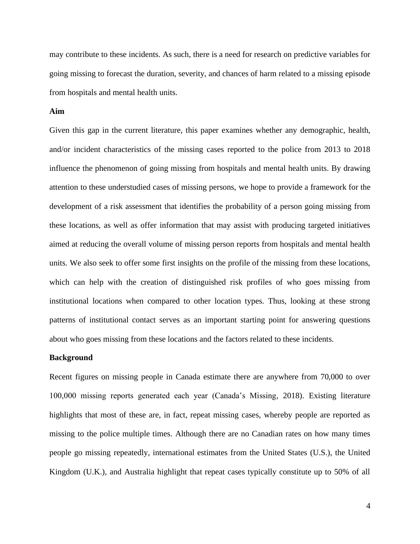may contribute to these incidents. As such, there is a need for research on predictive variables for going missing to forecast the duration, severity, and chances of harm related to a missing episode from hospitals and mental health units.

### **Aim**

Given this gap in the current literature, this paper examines whether any demographic, health, and/or incident characteristics of the missing cases reported to the police from 2013 to 2018 influence the phenomenon of going missing from hospitals and mental health units. By drawing attention to these understudied cases of missing persons, we hope to provide a framework for the development of a risk assessment that identifies the probability of a person going missing from these locations, as well as offer information that may assist with producing targeted initiatives aimed at reducing the overall volume of missing person reports from hospitals and mental health units. We also seek to offer some first insights on the profile of the missing from these locations, which can help with the creation of distinguished risk profiles of who goes missing from institutional locations when compared to other location types. Thus, looking at these strong patterns of institutional contact serves as an important starting point for answering questions about who goes missing from these locations and the factors related to these incidents.

### **Background**

Recent figures on missing people in Canada estimate there are anywhere from 70,000 to over 100,000 missing reports generated each year (Canada's Missing, 2018). Existing literature highlights that most of these are, in fact, repeat missing cases, whereby people are reported as missing to the police multiple times. Although there are no Canadian rates on how many times people go missing repeatedly, international estimates from the United States (U.S.), the United Kingdom (U.K.), and Australia highlight that repeat cases typically constitute up to 50% of all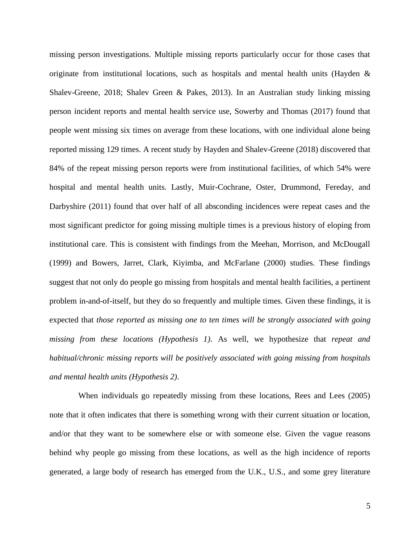missing person investigations. Multiple missing reports particularly occur for those cases that originate from institutional locations, such as hospitals and mental health units (Hayden  $\&$ Shalev-Greene, 2018; Shalev Green & Pakes, 2013). In an Australian study linking missing person incident reports and mental health service use, Sowerby and Thomas (2017) found that people went missing six times on average from these locations, with one individual alone being reported missing 129 times. A recent study by Hayden and Shalev-Greene (2018) discovered that 84% of the repeat missing person reports were from institutional facilities, of which 54% were hospital and mental health units. Lastly, Muir-Cochrane, Oster, Drummond, Fereday, and Darbyshire (2011) found that over half of all absconding incidences were repeat cases and the most significant predictor for going missing multiple times is a previous history of eloping from institutional care. This is consistent with findings from the Meehan, Morrison, and McDougall (1999) and Bowers, Jarret, Clark, Kiyimba, and McFarlane (2000) studies. These findings suggest that not only do people go missing from hospitals and mental health facilities, a pertinent problem in-and-of-itself, but they do so frequently and multiple times. Given these findings, it is expected that *those reported as missing one to ten times will be strongly associated with going missing from these locations (Hypothesis 1)*. As well, we hypothesize that *repeat and habitual/chronic missing reports will be positively associated with going missing from hospitals and mental health units (Hypothesis 2)*.

 When individuals go repeatedly missing from these locations, Rees and Lees (2005) note that it often indicates that there is something wrong with their current situation or location, and/or that they want to be somewhere else or with someone else. Given the vague reasons behind why people go missing from these locations, as well as the high incidence of reports generated, a large body of research has emerged from the U.K., U.S., and some grey literature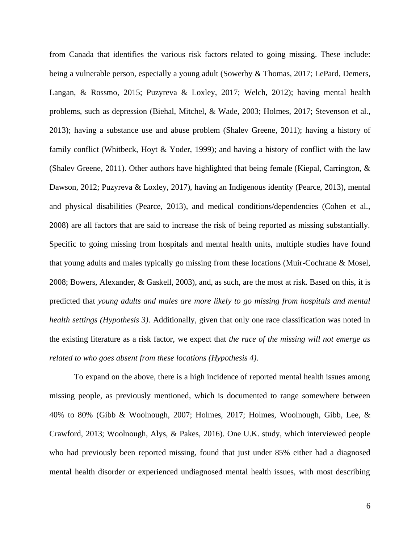from Canada that identifies the various risk factors related to going missing. These include: being a vulnerable person, especially a young adult (Sowerby & Thomas, 2017; LePard, Demers, Langan, & Rossmo, 2015; Puzyreva & Loxley, 2017; Welch, 2012); having mental health problems, such as depression (Biehal, Mitchel, & Wade, 2003; Holmes, 2017; Stevenson et al., 2013); having a substance use and abuse problem (Shalev Greene, 2011); having a history of family conflict (Whitbeck, Hoyt & Yoder, 1999); and having a history of conflict with the law (Shalev Greene, 2011). Other authors have highlighted that being female (Kiepal, Carrington,  $\&$ Dawson, 2012; Puzyreva & Loxley, 2017), having an Indigenous identity (Pearce, 2013), mental and physical disabilities (Pearce, 2013), and medical conditions/dependencies (Cohen et al., 2008) are all factors that are said to increase the risk of being reported as missing substantially. Specific to going missing from hospitals and mental health units, multiple studies have found that young adults and males typically go missing from these locations (Muir-Cochrane & Mosel, 2008; Bowers, Alexander, & Gaskell, 2003), and, as such, are the most at risk. Based on this, it is predicted that *young adults and males are more likely to go missing from hospitals and mental health settings (Hypothesis 3)*. Additionally, given that only one race classification was noted in the existing literature as a risk factor, we expect that *the race of the missing will not emerge as related to who goes absent from these locations (Hypothesis 4).* 

To expand on the above, there is a high incidence of reported mental health issues among missing people, as previously mentioned, which is documented to range somewhere between 40% to 80% (Gibb & Woolnough, 2007; Holmes, 2017; Holmes, Woolnough, Gibb, Lee, & Crawford, 2013; Woolnough, Alys, & Pakes, 2016). One U.K. study, which interviewed people who had previously been reported missing, found that just under 85% either had a diagnosed mental health disorder or experienced undiagnosed mental health issues, with most describing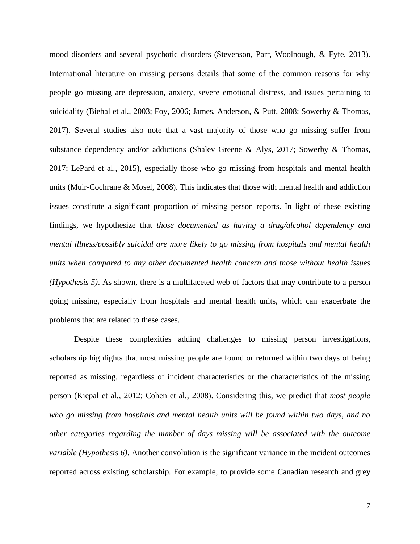mood disorders and several psychotic disorders (Stevenson, Parr, Woolnough, & Fyfe, 2013). International literature on missing persons details that some of the common reasons for why people go missing are depression, anxiety, severe emotional distress, and issues pertaining to suicidality (Biehal et al., 2003; Foy, 2006; James, Anderson, & Putt, 2008; Sowerby & Thomas, 2017). Several studies also note that a vast majority of those who go missing suffer from substance dependency and/or addictions (Shalev Greene & Alys, 2017; Sowerby & Thomas, 2017; LePard et al., 2015), especially those who go missing from hospitals and mental health units (Muir-Cochrane & Mosel, 2008). This indicates that those with mental health and addiction issues constitute a significant proportion of missing person reports. In light of these existing findings, we hypothesize that *those documented as having a drug/alcohol dependency and mental illness/possibly suicidal are more likely to go missing from hospitals and mental health units when compared to any other documented health concern and those without health issues (Hypothesis 5)*. As shown, there is a multifaceted web of factors that may contribute to a person going missing, especially from hospitals and mental health units, which can exacerbate the problems that are related to these cases.

Despite these complexities adding challenges to missing person investigations, scholarship highlights that most missing people are found or returned within two days of being reported as missing, regardless of incident characteristics or the characteristics of the missing person (Kiepal et al., 2012; Cohen et al., 2008). Considering this, we predict that *most people who go missing from hospitals and mental health units will be found within two days, and no other categories regarding the number of days missing will be associated with the outcome variable (Hypothesis 6)*. Another convolution is the significant variance in the incident outcomes reported across existing scholarship. For example, to provide some Canadian research and grey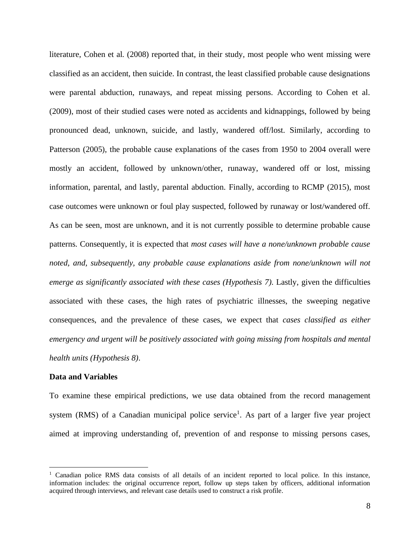literature, Cohen et al. (2008) reported that, in their study, most people who went missing were classified as an accident, then suicide. In contrast, the least classified probable cause designations were parental abduction, runaways, and repeat missing persons. According to Cohen et al. (2009), most of their studied cases were noted as accidents and kidnappings, followed by being pronounced dead, unknown, suicide, and lastly, wandered off/lost. Similarly, according to Patterson (2005), the probable cause explanations of the cases from 1950 to 2004 overall were mostly an accident, followed by unknown/other, runaway, wandered off or lost, missing information, parental, and lastly, parental abduction. Finally, according to RCMP (2015), most case outcomes were unknown or foul play suspected, followed by runaway or lost/wandered off. As can be seen, most are unknown, and it is not currently possible to determine probable cause patterns. Consequently, it is expected that *most cases will have a none/unknown probable cause noted, and, subsequently, any probable cause explanations aside from none/unknown will not emerge as significantly associated with these cases (Hypothesis 7).* Lastly, given the difficulties associated with these cases, the high rates of psychiatric illnesses, the sweeping negative consequences, and the prevalence of these cases, we expect that *cases classified as either emergency and urgent will be positively associated with going missing from hospitals and mental health units (Hypothesis 8)*.

### **Data and Variables**

To examine these empirical predictions, we use data obtained from the record management system (RMS) of a Canadian municipal police service<sup>1</sup>. As part of a larger five year project aimed at improving understanding of, prevention of and response to missing persons cases,

<sup>1</sup> Canadian police RMS data consists of all details of an incident reported to local police. In this instance, information includes: the original occurrence report, follow up steps taken by officers, additional information acquired through interviews, and relevant case details used to construct a risk profile.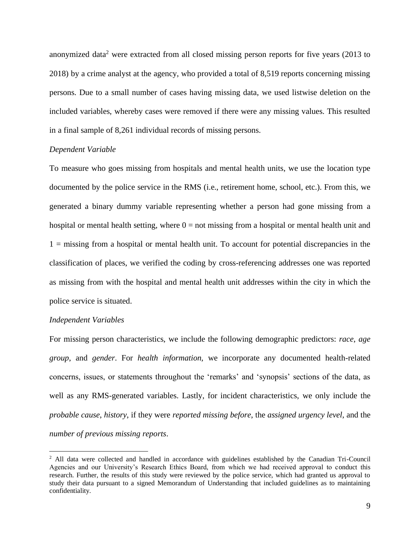anonymized data<sup>2</sup> were extracted from all closed missing person reports for five years (2013 to 2018) by a crime analyst at the agency, who provided a total of 8,519 reports concerning missing persons. Due to a small number of cases having missing data, we used listwise deletion on the included variables, whereby cases were removed if there were any missing values. This resulted in a final sample of 8,261 individual records of missing persons.

#### *Dependent Variable*

To measure who goes missing from hospitals and mental health units, we use the location type documented by the police service in the RMS (i.e., retirement home, school, etc.). From this, we generated a binary dummy variable representing whether a person had gone missing from a hospital or mental health setting, where  $0 =$  not missing from a hospital or mental health unit and  $1 =$  missing from a hospital or mental health unit. To account for potential discrepancies in the classification of places, we verified the coding by cross-referencing addresses one was reported as missing from with the hospital and mental health unit addresses within the city in which the police service is situated.

### *Independent Variables*

For missing person characteristics, we include the following demographic predictors: *race*, *age group*, and *gender*. For *health information,* we incorporate any documented health-related concerns, issues, or statements throughout the 'remarks' and 'synopsis' sections of the data, as well as any RMS-generated variables. Lastly, for incident characteristics, we only include the *probable cause*, *history*, if they were *reported missing before*, the *assigned urgency level*, and the *number of previous missing reports*.

<sup>&</sup>lt;sup>2</sup> All data were collected and handled in accordance with guidelines established by the Canadian Tri-Council Agencies and our University's Research Ethics Board, from which we had received approval to conduct this research. Further, the results of this study were reviewed by the police service, which had granted us approval to study their data pursuant to a signed Memorandum of Understanding that included guidelines as to maintaining confidentiality.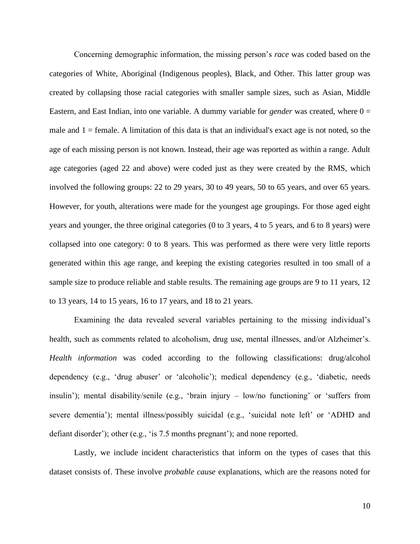Concerning demographic information, the missing person's *race* was coded based on the categories of White, Aboriginal (Indigenous peoples), Black, and Other. This latter group was created by collapsing those racial categories with smaller sample sizes, such as Asian, Middle Eastern, and East Indian, into one variable. A dummy variable for *gender* was created, where  $0 =$ male and  $1 =$  female. A limitation of this data is that an individual's exact age is not noted, so the age of each missing person is not known. Instead, their age was reported as within a range. Adult age categories (aged 22 and above) were coded just as they were created by the RMS, which involved the following groups: 22 to 29 years, 30 to 49 years, 50 to 65 years, and over 65 years. However, for youth, alterations were made for the youngest age groupings. For those aged eight years and younger, the three original categories (0 to 3 years, 4 to 5 years, and 6 to 8 years) were collapsed into one category: 0 to 8 years. This was performed as there were very little reports generated within this age range, and keeping the existing categories resulted in too small of a sample size to produce reliable and stable results. The remaining age groups are 9 to 11 years, 12 to 13 years, 14 to 15 years, 16 to 17 years, and 18 to 21 years.

Examining the data revealed several variables pertaining to the missing individual's health, such as comments related to alcoholism, drug use, mental illnesses, and/or Alzheimer's. *Health information* was coded according to the following classifications: drug/alcohol dependency (e.g., 'drug abuser' or 'alcoholic'); medical dependency (e.g., 'diabetic, needs insulin'); mental disability/senile (e.g., 'brain injury – low/no functioning' or 'suffers from severe dementia'); mental illness/possibly suicidal (e.g., 'suicidal note left' or 'ADHD and defiant disorder'); other (e.g., 'is 7.5 months pregnant'); and none reported.

Lastly, we include incident characteristics that inform on the types of cases that this dataset consists of. These involve *probable cause* explanations, which are the reasons noted for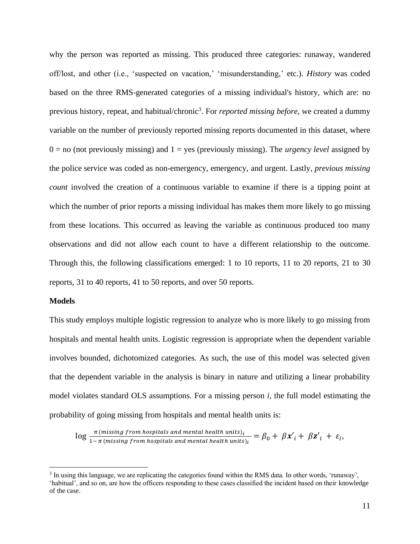why the person was reported as missing. This produced three categories: runaway, wandered off/lost, and other (i.e., 'suspected on vacation,' 'misunderstanding,' etc.). *History* was coded based on the three RMS-generated categories of a missing individual's history, which are: no previous history, repeat, and habitual/chronic<sup>3</sup>. For *reported missing before*, we created a dummy variable on the number of previously reported missing reports documented in this dataset, where  $0 =$  no (not previously missing) and  $1 =$  yes (previously missing). The *urgency level* assigned by the police service was coded as non-emergency, emergency, and urgent. Lastly, *previous missing count* involved the creation of a continuous variable to examine if there is a tipping point at which the number of prior reports a missing individual has makes them more likely to go missing from these locations. This occurred as leaving the variable as continuous produced too many observations and did not allow each count to have a different relationship to the outcome. Through this, the following classifications emerged: 1 to 10 reports, 11 to 20 reports, 21 to 30 reports, 31 to 40 reports, 41 to 50 reports, and over 50 reports.

#### **Models**

This study employs multiple logistic regression to analyze who is more likely to go missing from hospitals and mental health units. Logistic regression is appropriate when the dependent variable involves bounded, dichotomized categories. As such, the use of this model was selected given that the dependent variable in the analysis is binary in nature and utilizing a linear probability model violates standard OLS assumptions. For a missing person *i,* the full model estimating the probability of going missing from hospitals and mental health units is:

 $\log \frac{\pi(missing\ from\ hospitals\ and\ mental\ health\ units)_i}{1-\pi(missing\ from\ hospitals\ and\ mental\ health\ units)_i} = \beta_0 + \beta x'_i + \beta z'_i + \varepsilon_i,$ 

<sup>&</sup>lt;sup>3</sup> In using this language, we are replicating the categories found within the RMS data. In other words, 'runaway', 'habitual', and so on, are how the officers responding to these cases classified the incident based on their knowledge of the case.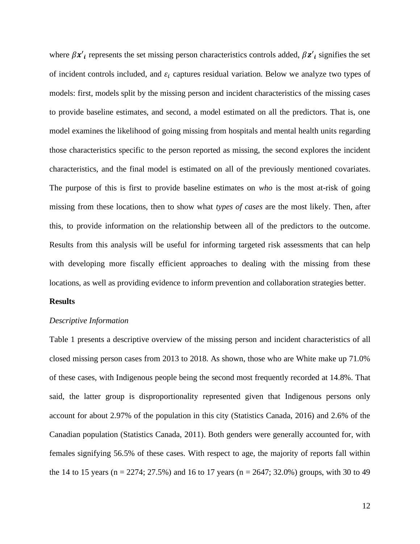where  $\beta x'_i$  represents the set missing person characteristics controls added,  $\beta z'_i$  signifies the set of incident controls included, and  $\varepsilon_i$  captures residual variation. Below we analyze two types of models: first, models split by the missing person and incident characteristics of the missing cases to provide baseline estimates, and second, a model estimated on all the predictors. That is, one model examines the likelihood of going missing from hospitals and mental health units regarding those characteristics specific to the person reported as missing, the second explores the incident characteristics, and the final model is estimated on all of the previously mentioned covariates. The purpose of this is first to provide baseline estimates on *who* is the most at-risk of going missing from these locations, then to show what *types of cases* are the most likely. Then, after this, to provide information on the relationship between all of the predictors to the outcome. Results from this analysis will be useful for informing targeted risk assessments that can help with developing more fiscally efficient approaches to dealing with the missing from these locations, as well as providing evidence to inform prevention and collaboration strategies better.

## **Results**

## *Descriptive Information*

Table 1 presents a descriptive overview of the missing person and incident characteristics of all closed missing person cases from 2013 to 2018. As shown, those who are White make up 71.0% of these cases, with Indigenous people being the second most frequently recorded at 14.8%. That said, the latter group is disproportionality represented given that Indigenous persons only account for about 2.97% of the population in this city (Statistics Canada, 2016) and 2.6% of the Canadian population (Statistics Canada, 2011). Both genders were generally accounted for, with females signifying 56.5% of these cases. With respect to age, the majority of reports fall within the 14 to 15 years (n = 2274; 27.5%) and 16 to 17 years (n = 2647; 32.0%) groups, with 30 to 49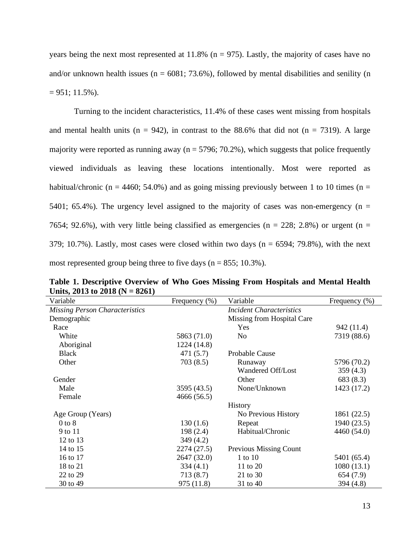years being the next most represented at  $11.8\%$  (n = 975). Lastly, the majority of cases have no and/or unknown health issues ( $n = 6081$ ; 73.6%), followed by mental disabilities and senility ( $n = 6081$ ; 73.6%), followed by mental disabilities and senility ( $n = 6081$ ; 73.6%)  $= 951$ ; 11.5%).

Turning to the incident characteristics, 11.4% of these cases went missing from hospitals and mental health units ( $n = 942$ ), in contrast to the 88.6% that did not ( $n = 7319$ ). A large majority were reported as running away ( $n = 5796$ ; 70.2%), which suggests that police frequently viewed individuals as leaving these locations intentionally. Most were reported as habitual/chronic (n = 4460; 54.0%) and as going missing previously between 1 to 10 times (n = 5401; 65.4%). The urgency level assigned to the majority of cases was non-emergency ( $n =$ 7654; 92.6%), with very little being classified as emergencies ( $n = 228$ ; 2.8%) or urgent ( $n =$ 379; 10.7%). Lastly, most cases were closed within two days ( $n = 6594$ ; 79.8%), with the next most represented group being three to five days ( $n = 855$ ; 10.3%).

| Variable                              | Frequency $(\% )$ | Variable                        | Frequency (%) |
|---------------------------------------|-------------------|---------------------------------|---------------|
| <b>Missing Person Characteristics</b> |                   | <b>Incident Characteristics</b> |               |
| Demographic                           |                   | Missing from Hospital Care      |               |
| Race                                  |                   | Yes                             | 942 (11.4)    |
| White                                 | 5863 (71.0)       | N <sub>0</sub>                  | 7319 (88.6)   |
| Aboriginal                            | 1224 (14.8)       |                                 |               |
| <b>Black</b>                          | 471 (5.7)         | Probable Cause                  |               |
| Other                                 | 703(8.5)          | Runaway                         | 5796 (70.2)   |
|                                       |                   | Wandered Off/Lost               | 359(4.3)      |
| Gender                                |                   | Other                           | 683 (8.3)     |
| Male                                  | 3595 (43.5)       | None/Unknown                    | 1423 (17.2)   |
| Female                                | 4666 (56.5)       |                                 |               |
|                                       |                   | History                         |               |
| Age Group (Years)                     |                   | No Previous History             | 1861 (22.5)   |
| $0$ to $8$                            | 130(1.6)          | Repeat                          | 1940 (23.5)   |
| 9 to 11                               | 198(2.4)          | Habitual/Chronic                | 4460 (54.0)   |
| 12 to 13                              | 349(4.2)          |                                 |               |
| 14 to 15                              | 2274 (27.5)       | Previous Missing Count          |               |
| 16 to 17                              | 2647 (32.0)       | 1 to $10$                       | 5401 (65.4)   |
| 18 to 21                              | 334(4.1)          | 11 to 20                        | 1080(13.1)    |
| 22 to 29                              | 713 (8.7)         | 21 to 30                        | 654 (7.9)     |
| 30 to 49                              | 975 (11.8)        | 31 to 40                        | 394 (4.8)     |

**Table 1. Descriptive Overview of Who Goes Missing From Hospitals and Mental Health Units, 2013 to 2018 (N = 8261)**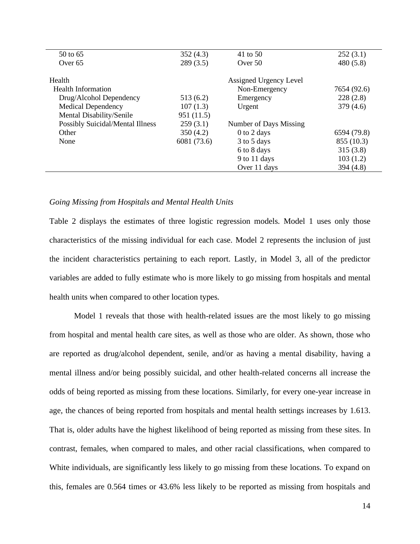| 50 to 65                         | 352(4.3)    | 41 to 50               | 252(3.1)    |
|----------------------------------|-------------|------------------------|-------------|
| Over 65                          | 289(3.5)    | Over $50$              | 480(5.8)    |
|                                  |             |                        |             |
| Health                           |             | Assigned Urgency Level |             |
| <b>Health Information</b>        |             | Non-Emergency          | 7654 (92.6) |
| Drug/Alcohol Dependency          | 513(6.2)    | Emergency              | 228(2.8)    |
| <b>Medical Dependency</b>        | 107(1.3)    | Urgent                 | 379(4.6)    |
| Mental Disability/Senile         | 951 (11.5)  |                        |             |
| Possibly Suicidal/Mental Illness | 259(3.1)    | Number of Days Missing |             |
| Other                            | 350(4.2)    | $0$ to $2$ days        | 6594 (79.8) |
| None                             | 6081 (73.6) | 3 to 5 days            | 855 (10.3)  |
|                                  |             | 6 to 8 days            | 315(3.8)    |
|                                  |             | 9 to 11 days           | 103(1.2)    |
|                                  |             | Over 11 days           | 394(4.8)    |
|                                  |             |                        |             |

## *Going Missing from Hospitals and Mental Health Units*

Table 2 displays the estimates of three logistic regression models. Model 1 uses only those characteristics of the missing individual for each case. Model 2 represents the inclusion of just the incident characteristics pertaining to each report. Lastly, in Model 3, all of the predictor variables are added to fully estimate who is more likely to go missing from hospitals and mental health units when compared to other location types.

Model 1 reveals that those with health-related issues are the most likely to go missing from hospital and mental health care sites, as well as those who are older. As shown, those who are reported as drug/alcohol dependent, senile, and/or as having a mental disability, having a mental illness and/or being possibly suicidal, and other health-related concerns all increase the odds of being reported as missing from these locations. Similarly, for every one-year increase in age, the chances of being reported from hospitals and mental health settings increases by 1.613. That is, older adults have the highest likelihood of being reported as missing from these sites. In contrast, females, when compared to males, and other racial classifications, when compared to White individuals, are significantly less likely to go missing from these locations. To expand on this, females are 0.564 times or 43.6% less likely to be reported as missing from hospitals and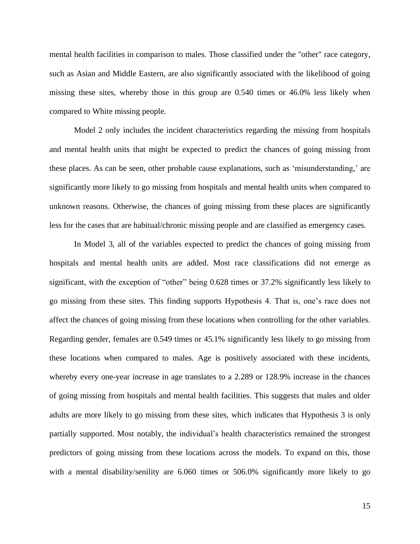mental health facilities in comparison to males. Those classified under the "other" race category, such as Asian and Middle Eastern, are also significantly associated with the likelihood of going missing these sites, whereby those in this group are 0.540 times or 46.0% less likely when compared to White missing people.

Model 2 only includes the incident characteristics regarding the missing from hospitals and mental health units that might be expected to predict the chances of going missing from these places. As can be seen, other probable cause explanations, such as 'misunderstanding,' are significantly more likely to go missing from hospitals and mental health units when compared to unknown reasons. Otherwise, the chances of going missing from these places are significantly less for the cases that are habitual/chronic missing people and are classified as emergency cases.

In Model 3, all of the variables expected to predict the chances of going missing from hospitals and mental health units are added. Most race classifications did not emerge as significant, with the exception of "other" being 0.628 times or 37.2% significantly less likely to go missing from these sites. This finding supports Hypothesis 4. That is, one's race does not affect the chances of going missing from these locations when controlling for the other variables. Regarding gender, females are 0.549 times or 45.1% significantly less likely to go missing from these locations when compared to males. Age is positively associated with these incidents, whereby every one-year increase in age translates to a 2.289 or 128.9% increase in the chances of going missing from hospitals and mental health facilities. This suggests that males and older adults are more likely to go missing from these sites, which indicates that Hypothesis 3 is only partially supported. Most notably, the individual's health characteristics remained the strongest predictors of going missing from these locations across the models. To expand on this, those with a mental disability/senility are 6.060 times or 506.0% significantly more likely to go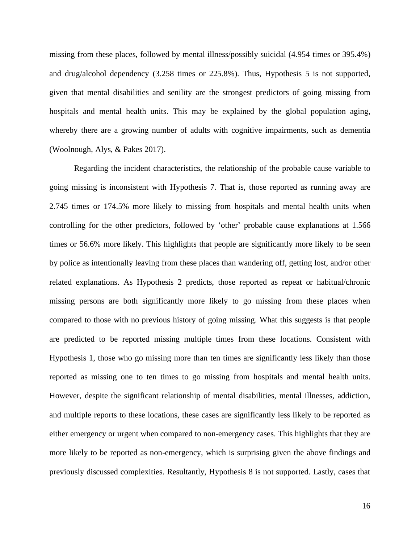missing from these places, followed by mental illness/possibly suicidal (4.954 times or 395.4%) and drug/alcohol dependency (3.258 times or 225.8%). Thus, Hypothesis 5 is not supported, given that mental disabilities and senility are the strongest predictors of going missing from hospitals and mental health units. This may be explained by the global population aging, whereby there are a growing number of adults with cognitive impairments, such as dementia (Woolnough, Alys, & Pakes 2017).

Regarding the incident characteristics, the relationship of the probable cause variable to going missing is inconsistent with Hypothesis 7. That is, those reported as running away are 2.745 times or 174.5% more likely to missing from hospitals and mental health units when controlling for the other predictors, followed by 'other' probable cause explanations at 1.566 times or 56.6% more likely. This highlights that people are significantly more likely to be seen by police as intentionally leaving from these places than wandering off, getting lost, and/or other related explanations. As Hypothesis 2 predicts, those reported as repeat or habitual/chronic missing persons are both significantly more likely to go missing from these places when compared to those with no previous history of going missing. What this suggests is that people are predicted to be reported missing multiple times from these locations. Consistent with Hypothesis 1, those who go missing more than ten times are significantly less likely than those reported as missing one to ten times to go missing from hospitals and mental health units. However, despite the significant relationship of mental disabilities, mental illnesses, addiction, and multiple reports to these locations, these cases are significantly less likely to be reported as either emergency or urgent when compared to non-emergency cases. This highlights that they are more likely to be reported as non-emergency, which is surprising given the above findings and previously discussed complexities. Resultantly, Hypothesis 8 is not supported. Lastly, cases that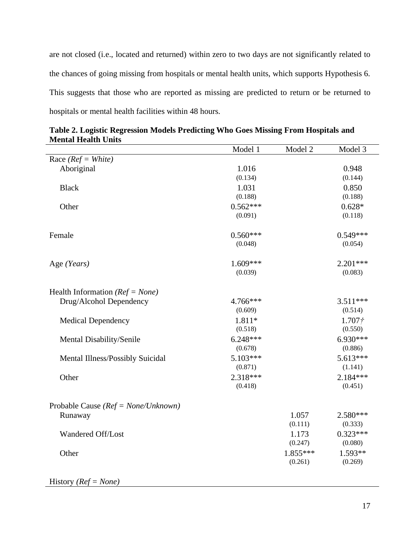are not closed (i.e., located and returned) within zero to two days are not significantly related to the chances of going missing from hospitals or mental health units, which supports Hypothesis 6. This suggests that those who are reported as missing are predicted to return or be returned to hospitals or mental health facilities within 48 hours.

|                                         | Model 1    | Model 2    | Model 3            |
|-----------------------------------------|------------|------------|--------------------|
| Race ( $Ref = White$ )                  |            |            |                    |
| Aboriginal                              | 1.016      |            | 0.948              |
|                                         | (0.134)    |            | (0.144)            |
| <b>Black</b>                            | 1.031      |            | 0.850              |
|                                         | (0.188)    |            | (0.188)            |
| Other                                   | $0.562***$ |            | $0.628*$           |
|                                         | (0.091)    |            | (0.118)            |
| Female                                  | $0.560***$ |            | $0.549***$         |
|                                         | (0.048)    |            | (0.054)            |
|                                         | $1.609***$ |            | $2.201***$         |
| Age (Years)                             | (0.039)    |            | (0.083)            |
|                                         |            |            |                    |
| Health Information ( $Ref = None$ )     |            |            |                    |
| Drug/Alcohol Dependency                 | 4.766***   |            | $3.511***$         |
|                                         | (0.609)    |            | (0.514)            |
| <b>Medical Dependency</b>               | 1.811*     |            | 1.707 <sup>†</sup> |
|                                         | (0.518)    |            | (0.550)            |
| Mental Disability/Senile                | $6.248***$ |            | $6.930***$         |
|                                         | (0.678)    |            | (0.886)            |
| Mental Illness/Possibly Suicidal        | $5.103***$ |            | 5.613***           |
|                                         | (0.871)    |            | (1.141)            |
| Other                                   | $2.318***$ |            | $2.184***$         |
|                                         | (0.418)    |            | (0.451)            |
| Probable Cause ( $Ref = None/Unknown$ ) |            |            |                    |
| Runaway                                 |            | 1.057      | 2.580***           |
|                                         |            | (0.111)    | (0.333)            |
| Wandered Off/Lost                       |            | 1.173      | $0.323***$         |
|                                         |            | (0.247)    | (0.080)            |
| Other                                   |            | $1.855***$ | $1.593**$          |
|                                         |            | (0.261)    | (0.269)            |
|                                         |            |            |                    |

**Table 2. Logistic Regression Models Predicting Who Goes Missing From Hospitals and Mental Health Units**

History *(Ref = None)*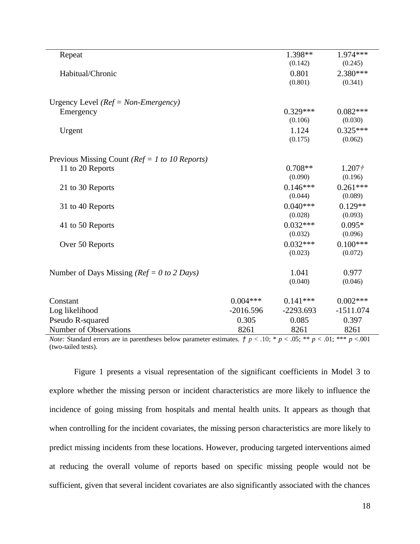| Repeat                                            |             | 1.398**     | 1.974 ***          |
|---------------------------------------------------|-------------|-------------|--------------------|
|                                                   |             | (0.142)     | (0.245)            |
| Habitual/Chronic                                  |             | 0.801       | $2.380***$         |
|                                                   |             | (0.801)     | (0.341)            |
|                                                   |             |             |                    |
| Urgency Level ( $Ref = Non-Emergency$ )           |             |             |                    |
| Emergency                                         |             | $0.329***$  | $0.082***$         |
|                                                   |             | (0.106)     | (0.030)            |
| Urgent                                            |             | 1.124       | $0.325***$         |
|                                                   |             | (0.175)     | (0.062)            |
|                                                   |             |             |                    |
| Previous Missing Count ( $Ref = 1$ to 10 Reports) |             |             |                    |
| 11 to 20 Reports                                  |             | $0.708**$   | 1.207 <sup>†</sup> |
|                                                   |             | (0.090)     | (0.196)            |
| 21 to 30 Reports                                  |             | $0.146***$  | $0.261***$         |
|                                                   |             | (0.044)     | (0.089)            |
| 31 to 40 Reports                                  |             | $0.040***$  | $0.129**$          |
|                                                   |             | (0.028)     | (0.093)            |
| 41 to 50 Reports                                  |             | $0.032***$  | $0.095*$           |
|                                                   |             | (0.032)     | (0.096)            |
| Over 50 Reports                                   |             | $0.032***$  | $0.100***$         |
|                                                   |             | (0.023)     | (0.072)            |
|                                                   |             |             |                    |
| Number of Days Missing ( $Ref = 0 to 2$ Days)     |             | 1.041       | 0.977              |
|                                                   |             | (0.040)     | (0.046)            |
| Constant                                          | $0.004***$  | $0.141***$  | $0.002***$         |
| Log likelihood                                    | $-2016.596$ | $-2293.693$ | $-1511.074$        |
| Pseudo R-squared                                  | 0.305       | 0.085       | 0.397              |
| Number of Observations                            | 8261        | 8261        | 8261               |
|                                                   |             |             |                    |

*Note:* Standard errors are in parentheses below parameter estimates.  $\dot{\tau}$   $p < .10$ ; \*  $p < .05$ ; \*\*  $p < .01$ ; \*\*\*  $p < .001$ (two-tailed tests).

Figure 1 presents a visual representation of the significant coefficients in Model 3 to explore whether the missing person or incident characteristics are more likely to influence the incidence of going missing from hospitals and mental health units. It appears as though that when controlling for the incident covariates, the missing person characteristics are more likely to predict missing incidents from these locations. However, producing targeted interventions aimed at reducing the overall volume of reports based on specific missing people would not be sufficient, given that several incident covariates are also significantly associated with the chances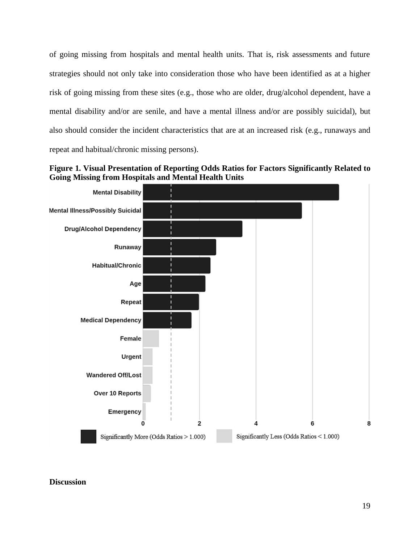of going missing from hospitals and mental health units. That is, risk assessments and future strategies should not only take into consideration those who have been identified as at a higher risk of going missing from these sites (e.g., those who are older, drug/alcohol dependent, have a mental disability and/or are senile, and have a mental illness and/or are possibly suicidal), but also should consider the incident characteristics that are at an increased risk (e.g., runaways and repeat and habitual/chronic missing persons).





# **Discussion**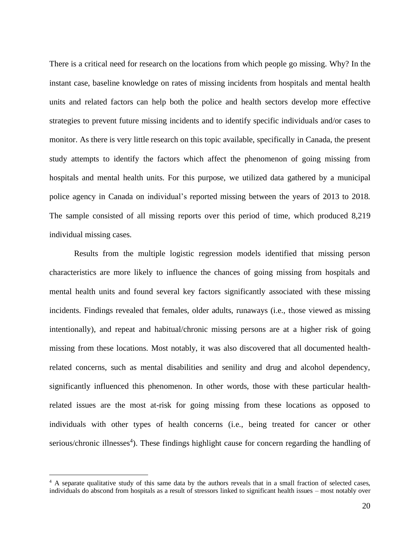There is a critical need for research on the locations from which people go missing. Why? In the instant case, baseline knowledge on rates of missing incidents from hospitals and mental health units and related factors can help both the police and health sectors develop more effective strategies to prevent future missing incidents and to identify specific individuals and/or cases to monitor. As there is very little research on this topic available, specifically in Canada, the present study attempts to identify the factors which affect the phenomenon of going missing from hospitals and mental health units. For this purpose, we utilized data gathered by a municipal police agency in Canada on individual's reported missing between the years of 2013 to 2018. The sample consisted of all missing reports over this period of time, which produced 8,219 individual missing cases.

Results from the multiple logistic regression models identified that missing person characteristics are more likely to influence the chances of going missing from hospitals and mental health units and found several key factors significantly associated with these missing incidents. Findings revealed that females, older adults, runaways (i.e., those viewed as missing intentionally), and repeat and habitual/chronic missing persons are at a higher risk of going missing from these locations. Most notably, it was also discovered that all documented healthrelated concerns, such as mental disabilities and senility and drug and alcohol dependency, significantly influenced this phenomenon. In other words, those with these particular healthrelated issues are the most at-risk for going missing from these locations as opposed to individuals with other types of health concerns (i.e., being treated for cancer or other serious/chronic illnesses<sup>4</sup>). These findings highlight cause for concern regarding the handling of

<sup>4</sup> A separate qualitative study of this same data by the authors reveals that in a small fraction of selected cases, individuals do abscond from hospitals as a result of stressors linked to significant health issues – most notably over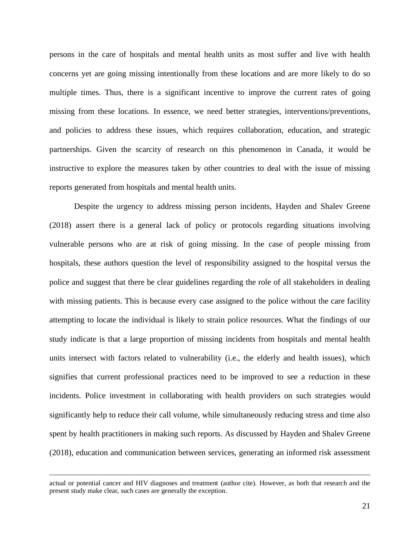persons in the care of hospitals and mental health units as most suffer and live with health concerns yet are going missing intentionally from these locations and are more likely to do so multiple times. Thus, there is a significant incentive to improve the current rates of going missing from these locations. In essence, we need better strategies, interventions/preventions, and policies to address these issues, which requires collaboration, education, and strategic partnerships. Given the scarcity of research on this phenomenon in Canada, it would be instructive to explore the measures taken by other countries to deal with the issue of missing reports generated from hospitals and mental health units.

Despite the urgency to address missing person incidents, Hayden and Shalev Greene (2018) assert there is a general lack of policy or protocols regarding situations involving vulnerable persons who are at risk of going missing. In the case of people missing from hospitals, these authors question the level of responsibility assigned to the hospital versus the police and suggest that there be clear guidelines regarding the role of all stakeholders in dealing with missing patients. This is because every case assigned to the police without the care facility attempting to locate the individual is likely to strain police resources. What the findings of our study indicate is that a large proportion of missing incidents from hospitals and mental health units intersect with factors related to vulnerability (i.e., the elderly and health issues), which signifies that current professional practices need to be improved to see a reduction in these incidents. Police investment in collaborating with health providers on such strategies would significantly help to reduce their call volume, while simultaneously reducing stress and time also spent by health practitioners in making such reports. As discussed by Hayden and Shalev Greene (2018), education and communication between services, generating an informed risk assessment

actual or potential cancer and HIV diagnoses and treatment (author cite). However, as both that research and the present study make clear, such cases are generally the exception.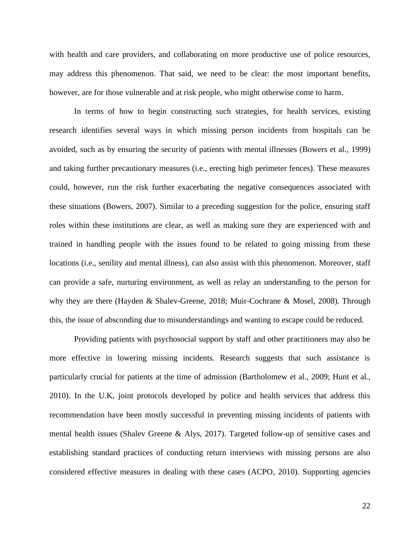with health and care providers, and collaborating on more productive use of police resources, may address this phenomenon. That said, we need to be clear: the most important benefits, however, are for those vulnerable and at risk people, who might otherwise come to harm.

In terms of how to begin constructing such strategies, for health services, existing research identifies several ways in which missing person incidents from hospitals can be avoided, such as by ensuring the security of patients with mental illnesses (Bowers et al., 1999) and taking further precautionary measures (i.e., erecting high perimeter fences). These measures could, however, run the risk further exacerbating the negative consequences associated with these situations (Bowers, 2007). Similar to a preceding suggestion for the police, ensuring staff roles within these institutions are clear, as well as making sure they are experienced with and trained in handling people with the issues found to be related to going missing from these locations (i.e., senility and mental illness), can also assist with this phenomenon. Moreover, staff can provide a safe, nurturing environment, as well as relay an understanding to the person for why they are there (Hayden & Shalev-Greene, 2018; Muir-Cochrane & Mosel, 2008). Through this, the issue of absconding due to misunderstandings and wanting to escape could be reduced.

Providing patients with psychosocial support by staff and other practitioners may also be more effective in lowering missing incidents. Research suggests that such assistance is particularly crucial for patients at the time of admission (Bartholomew et al., 2009; Hunt et al., 2010). In the U.K, joint protocols developed by police and health services that address this recommendation have been mostly successful in preventing missing incidents of patients with mental health issues (Shalev Greene & Alys, 2017). Targeted follow-up of sensitive cases and establishing standard practices of conducting return interviews with missing persons are also considered effective measures in dealing with these cases (ACPO, 2010). Supporting agencies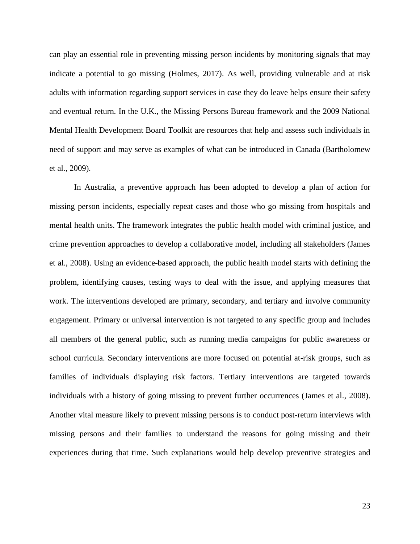can play an essential role in preventing missing person incidents by monitoring signals that may indicate a potential to go missing (Holmes, 2017). As well, providing vulnerable and at risk adults with information regarding support services in case they do leave helps ensure their safety and eventual return. In the U.K., the Missing Persons Bureau framework and the 2009 National Mental Health Development Board Toolkit are resources that help and assess such individuals in need of support and may serve as examples of what can be introduced in Canada (Bartholomew et al., 2009).

In Australia, a preventive approach has been adopted to develop a plan of action for missing person incidents, especially repeat cases and those who go missing from hospitals and mental health units. The framework integrates the public health model with criminal justice, and crime prevention approaches to develop a collaborative model, including all stakeholders (James et al., 2008). Using an evidence-based approach, the public health model starts with defining the problem, identifying causes, testing ways to deal with the issue, and applying measures that work. The interventions developed are primary, secondary, and tertiary and involve community engagement. Primary or universal intervention is not targeted to any specific group and includes all members of the general public, such as running media campaigns for public awareness or school curricula. Secondary interventions are more focused on potential at-risk groups, such as families of individuals displaying risk factors. Tertiary interventions are targeted towards individuals with a history of going missing to prevent further occurrences (James et al., 2008). Another vital measure likely to prevent missing persons is to conduct post-return interviews with missing persons and their families to understand the reasons for going missing and their experiences during that time. Such explanations would help develop preventive strategies and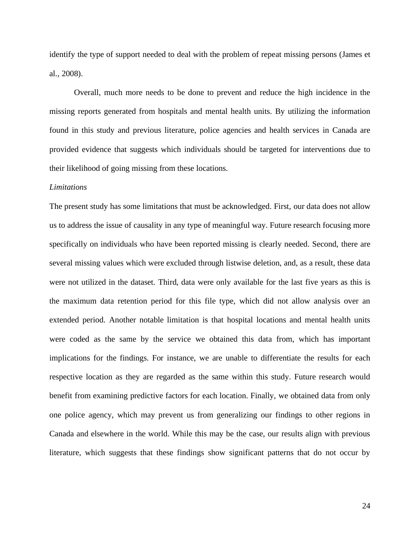identify the type of support needed to deal with the problem of repeat missing persons (James et al., 2008).

Overall, much more needs to be done to prevent and reduce the high incidence in the missing reports generated from hospitals and mental health units. By utilizing the information found in this study and previous literature, police agencies and health services in Canada are provided evidence that suggests which individuals should be targeted for interventions due to their likelihood of going missing from these locations.

### *Limitations*

The present study has some limitations that must be acknowledged. First, our data does not allow us to address the issue of causality in any type of meaningful way. Future research focusing more specifically on individuals who have been reported missing is clearly needed. Second, there are several missing values which were excluded through listwise deletion, and, as a result, these data were not utilized in the dataset. Third, data were only available for the last five years as this is the maximum data retention period for this file type, which did not allow analysis over an extended period. Another notable limitation is that hospital locations and mental health units were coded as the same by the service we obtained this data from, which has important implications for the findings. For instance, we are unable to differentiate the results for each respective location as they are regarded as the same within this study. Future research would benefit from examining predictive factors for each location. Finally, we obtained data from only one police agency, which may prevent us from generalizing our findings to other regions in Canada and elsewhere in the world. While this may be the case, our results align with previous literature, which suggests that these findings show significant patterns that do not occur by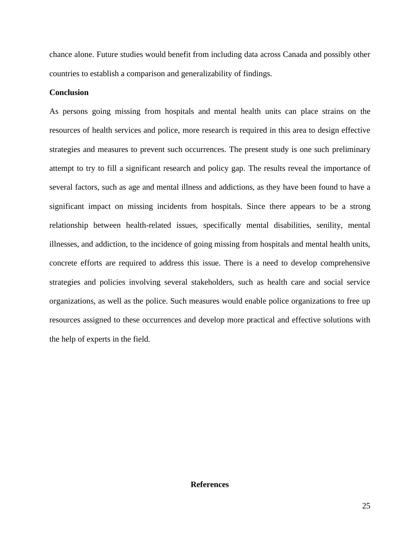chance alone. Future studies would benefit from including data across Canada and possibly other countries to establish a comparison and generalizability of findings.

## **Conclusion**

As persons going missing from hospitals and mental health units can place strains on the resources of health services and police, more research is required in this area to design effective strategies and measures to prevent such occurrences. The present study is one such preliminary attempt to try to fill a significant research and policy gap. The results reveal the importance of several factors, such as age and mental illness and addictions, as they have been found to have a significant impact on missing incidents from hospitals. Since there appears to be a strong relationship between health-related issues, specifically mental disabilities, senility, mental illnesses, and addiction, to the incidence of going missing from hospitals and mental health units, concrete efforts are required to address this issue. There is a need to develop comprehensive strategies and policies involving several stakeholders, such as health care and social service organizations, as well as the police. Such measures would enable police organizations to free up resources assigned to these occurrences and develop more practical and effective solutions with the help of experts in the field.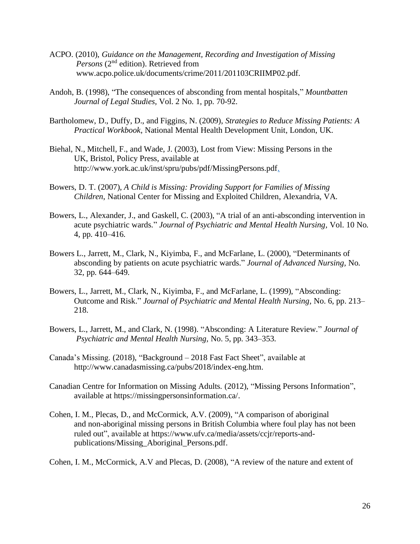- ACPO. (2010), *Guidance on the Management, Recording and Investigation of Missing Persons* (2<sup>nd</sup> edition). Retrieved from www.acpo.police.uk/documents/crime/2011/201103CRIIMP02.pdf.
- Andoh, B. (1998), "The consequences of absconding from mental hospitals," *Mountbatten Journal of Legal Studies,* Vol. 2 No. 1, pp. 70-92.
- Bartholomew, D., Duffy, D., and Figgins, N. (2009), *Strategies to Reduce Missing Patients: A Practical Workbook*, National Mental Health Development Unit, London, UK.
- Biehal, N., Mitchell, F., and Wade, J. (2003), Lost from View: Missing Persons in the UK, Bristol, Policy Press, available at http://www.york.ac.uk/inst/spru/pubs/pdf/MissingPersons.pdf.
- Bowers, D. T. (2007), *A Child is Missing: Providing Support for Families of Missing Children*, National Center for Missing and Exploited Children, Alexandria, VA.
- Bowers, L., Alexander, J., and Gaskell, C. (2003), "A trial of an anti-absconding intervention in acute psychiatric wards." *Journal of Psychiatric and Mental Health Nursing,* Vol. 10 No. 4, pp. 410–416.
- Bowers L., Jarrett, M., Clark, N., Kiyimba, F., and McFarlane, L. (2000), "Determinants of absconding by patients on acute psychiatric wards." *Journal of Advanced Nursing,* No. 32, pp. 644–649.
- Bowers, L., Jarrett, M., Clark, N., Kiyimba, F., and McFarlane, L. (1999), "Absconding: Outcome and Risk." *Journal of Psychiatric and Mental Health Nursing,* No. 6, pp. 213– 218.
- Bowers, L., Jarrett, M., and Clark, N. (1998). "Absconding: A Literature Review." *Journal of Psychiatric and Mental Health Nursing,* No. 5, pp. 343–353.
- Canada's Missing. (2018), "Background 2018 Fast Fact Sheet", available at http://www.canadasmissing.ca/pubs/2018/index-eng.htm.
- Canadian Centre for Information on Missing Adults. (2012), "Missing Persons Information", available at https://missingpersonsinformation.ca/.
- Cohen, I. M., Plecas, D., and McCormick, A.V. (2009), "A comparison of aboriginal and non-aboriginal missing persons in British Columbia where foul play has not been ruled out", available at https://www.ufv.ca/media/assets/ccjr/reports-andpublications/Missing\_Aboriginal\_Persons.pdf.

Cohen, I. M., McCormick, A.V and Plecas, D. (2008), "A review of the nature and extent of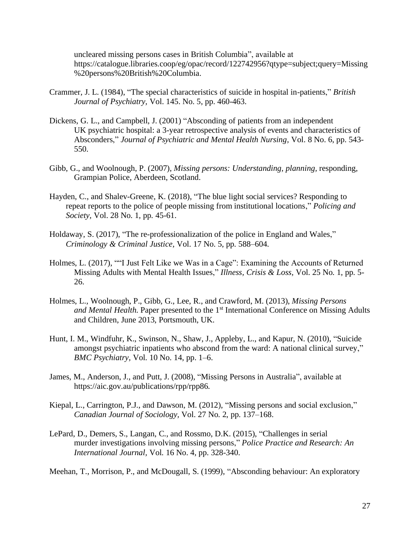uncleared missing persons cases in British Columbia", available at https://catalogue.libraries.coop/eg/opac/record/122742956?qtype=subject;query=Missing %20persons%20British%20Columbia.

- Crammer, J. L. (1984), "The special characteristics of suicide in hospital in-patients," *British Journal of Psychiatry,* Vol. 145. No. 5, pp. 460-463.
- Dickens, G. L., and Campbell, J. (2001) "Absconding of patients from an independent UK psychiatric hospital: a 3-year retrospective analysis of events and characteristics of Absconders," *Journal of Psychiatric and Mental Health Nursing,* Vol. 8 No. 6, pp. 543- 550.
- Gibb, G., and Woolnough, P. (2007), *Missing persons: Understanding, planning,* responding, Grampian Police, Aberdeen, Scotland.
- Hayden, C., and Shalev-Greene, K. (2018), "The blue light social services? Responding to repeat reports to the police of people missing from institutional locations," *Policing and Society,* Vol. 28 No. 1, pp. 45-61.
- Holdaway, S. (2017), "The re-professionalization of the police in England and Wales," *Criminology & Criminal Justice,* Vol. 17 No. 5, pp. 588–604.
- Holmes, L. (2017), ""I Just Felt Like we Was in a Cage": Examining the Accounts of Returned Missing Adults with Mental Health Issues," *Illness, Crisis & Loss,* Vol. 25 No. 1, pp. 5- 26.
- Holmes, L., Woolnough, P., Gibb, G., Lee, R., and Crawford, M. (2013), *Missing Persons and Mental Health*. Paper presented to the 1<sup>st</sup> International Conference on Missing Adults and Children, June 2013, Portsmouth, UK.
- Hunt, I. M., Windfuhr, K., Swinson, N., Shaw, J., Appleby, L., and Kapur, N. (2010), "Suicide amongst psychiatric inpatients who abscond from the ward: A national clinical survey," *BMC Psychiatry,* Vol. 10 No. 14, pp. 1–6.
- James, M., Anderson, J., and Putt, J. (2008), "Missing Persons in Australia", available at https://aic.gov.au/publications/rpp/rpp86.
- Kiepal, L., Carrington, P.J., and Dawson, M. (2012), "Missing persons and social exclusion," *Canadian Journal of Sociology,* Vol. 27 No. 2, pp. 137–168.
- LePard, D., Demers, S., Langan, C., and Rossmo, D.K. (2015), "Challenges in serial murder investigations involving missing persons," *Police Practice and Research: An International Journal,* Vol. 16 No. 4, pp. 328-340.

Meehan, T., Morrison, P., and McDougall, S. (1999), "Absconding behaviour: An exploratory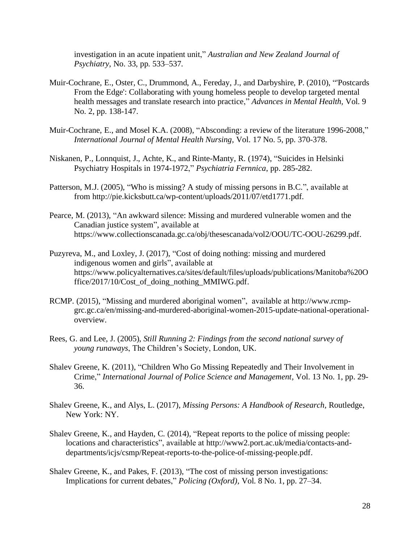investigation in an acute inpatient unit," *Australian and New Zealand Journal of Psychiatry*, No. 33, pp. 533–537.

- Muir-Cochrane, E., Oster, C., Drummond, A., Fereday, J., and Darbyshire, P. (2010), "'Postcards From the Edge': Collaborating with young homeless people to develop targeted mental health messages and translate research into practice," *Advances in Mental Health,* Vol. 9 No. 2, pp. 138-147.
- Muir-Cochrane, E., and Mosel K.A. (2008), "Absconding: a review of the literature 1996-2008," *International Journal of Mental Health Nursing,* Vol. 17 No. 5, pp. 370-378.
- Niskanen, P., Lonnquist, J., Achte, K., and Rinte-Manty, R. (1974), "Suicides in Helsinki Psychiatry Hospitals in 1974-1972," *Psychiatria Fernnica*, pp. 285-282.
- Patterson, M.J. (2005), "Who is missing? A study of missing persons in B.C.", available at from http://pie.kicksbutt.ca/wp-content/uploads/2011/07/etd1771.pdf.
- Pearce, M. (2013), "An awkward silence: Missing and murdered vulnerable women and the Canadian justice system", available at https://www.collectionscanada.gc.ca/obj/thesescanada/vol2/OOU/TC-OOU-26299.pdf.
- Puzyreva, M., and Loxley, J. (2017), "Cost of doing nothing: missing and murdered indigenous women and girls", available at https://www.policyalternatives.ca/sites/default/files/uploads/publications/Manitoba%20O ffice/2017/10/Cost\_of\_doing\_nothing\_MMIWG.pdf.
- RCMP. (2015), "Missing and murdered aboriginal women", available at http://www.rcmpgrc.gc.ca/en/missing-and-murdered-aboriginal-women-2015-update-national-operationaloverview.
- Rees, G. and Lee, J. (2005), *Still Running 2: Findings from the second national survey of young runaways*, The Children's Society, London, UK.
- Shalev Greene, K. (2011), "Children Who Go Missing Repeatedly and Their Involvement in Crime," *International Journal of Police Science and Management,* Vol. 13 No. 1, pp. 29- 36.
- Shalev Greene, K., and Alys, L. (2017), *Missing Persons: A Handbook of Research,* Routledge, New York: NY.
- Shalev Greene, K., and Hayden, C. (2014), "Repeat reports to the police of missing people: locations and characteristics", available at http://www2.port.ac.uk/media/contacts-anddepartments/icjs/csmp/Repeat-reports-to-the-police-of-missing-people.pdf.
- Shalev Greene, K., and Pakes, F. (2013), "The cost of missing person investigations: Implications for current debates," *Policing (Oxford),* Vol. 8 No. 1, pp. 27–34.